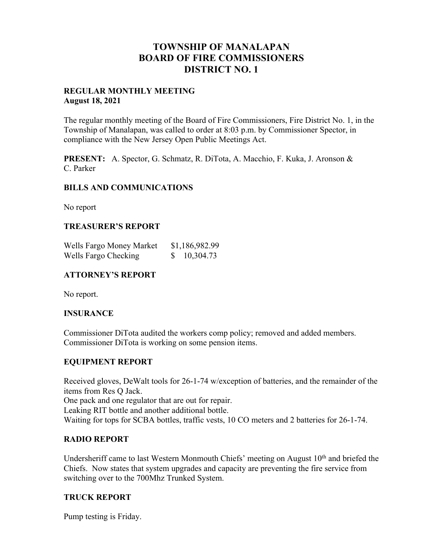# **TOWNSHIP OF MANALAPAN BOARD OF FIRE COMMISSIONERS DISTRICT NO. 1**

#### **REGULAR MONTHLY MEETING August 18, 2021**

The regular monthly meeting of the Board of Fire Commissioners, Fire District No. 1, in the Township of Manalapan, was called to order at 8:03 p.m. by Commissioner Spector, in compliance with the New Jersey Open Public Meetings Act.

**PRESENT:** A. Spector, G. Schmatz, R. DiTota, A. Macchio, F. Kuka, J. Aronson & C. Parker

### **BILLS AND COMMUNICATIONS**

No report

### **TREASURER'S REPORT**

| Wells Fargo Money Market | \$1,186,982.99 |  |
|--------------------------|----------------|--|
| Wells Fargo Checking     | 10,304.73      |  |

## **ATTORNEY'S REPORT**

No report.

### **INSURANCE**

Commissioner DiTota audited the workers comp policy; removed and added members. Commissioner DiTota is working on some pension items.

## **EQUIPMENT REPORT**

Received gloves, DeWalt tools for 26-1-74 w/exception of batteries, and the remainder of the items from Res Q Jack. One pack and one regulator that are out for repair. Leaking RIT bottle and another additional bottle. Waiting for tops for SCBA bottles, traffic vests, 10 CO meters and 2 batteries for 26-1-74.

## **RADIO REPORT**

Undersheriff came to last Western Monmouth Chiefs' meeting on August 10<sup>th</sup> and briefed the Chiefs. Now states that system upgrades and capacity are preventing the fire service from switching over to the 700Mhz Trunked System.

## **TRUCK REPORT**

Pump testing is Friday.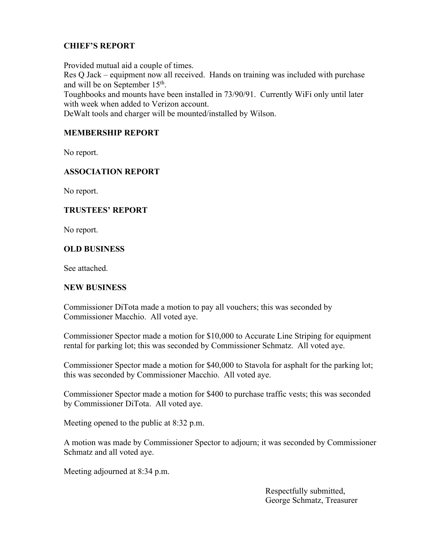# **CHIEF'S REPORT**

Provided mutual aid a couple of times. Res Q Jack – equipment now all received. Hands on training was included with purchase and will be on September 15th. Toughbooks and mounts have been installed in 73/90/91. Currently WiFi only until later with week when added to Verizon account.

DeWalt tools and charger will be mounted/installed by Wilson.

## **MEMBERSHIP REPORT**

No report.

## **ASSOCIATION REPORT**

No report.

### **TRUSTEES' REPORT**

No report.

### **OLD BUSINESS**

See attached.

### **NEW BUSINESS**

Commissioner DiTota made a motion to pay all vouchers; this was seconded by Commissioner Macchio. All voted aye.

Commissioner Spector made a motion for \$10,000 to Accurate Line Striping for equipment rental for parking lot; this was seconded by Commissioner Schmatz. All voted aye.

Commissioner Spector made a motion for \$40,000 to Stavola for asphalt for the parking lot; this was seconded by Commissioner Macchio. All voted aye.

Commissioner Spector made a motion for \$400 to purchase traffic vests; this was seconded by Commissioner DiTota. All voted aye.

Meeting opened to the public at 8:32 p.m.

A motion was made by Commissioner Spector to adjourn; it was seconded by Commissioner Schmatz and all voted aye.

Meeting adjourned at 8:34 p.m.

 Respectfully submitted, George Schmatz, Treasurer